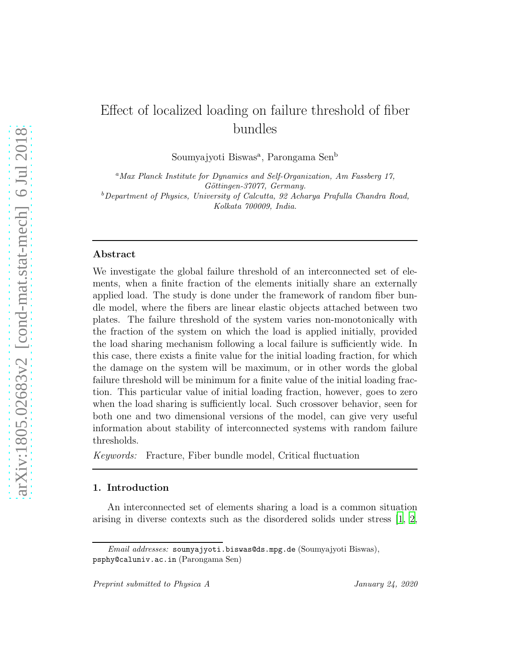# Effect of localized loading on failure threshold of fiber bundles

Soumyajyoti Biswas<sup>a</sup>, Parongama Sen<sup>b</sup>

<sup>a</sup>*Max Planck Institute for Dynamics and Self-Organization, Am Fassberg 17, G¨ottingen-37077, Germany.* <sup>b</sup>*Department of Physics, University of Calcutta, 92 Acharya Prafulla Chandra Road, Kolkata 700009, India.*

# Abstract

We investigate the global failure threshold of an interconnected set of elements, when a finite fraction of the elements initially share an externally applied load. The study is done under the framework of random fiber bundle model, where the fibers are linear elastic objects attached between two plates. The failure threshold of the system varies non-monotonically with the fraction of the system on which the load is applied initially, provided the load sharing mechanism following a local failure is sufficiently wide. In this case, there exists a finite value for the initial loading fraction, for which the damage on the system will be maximum, or in other words the global failure threshold will be minimum for a finite value of the initial loading fraction. This particular value of initial loading fraction, however, goes to zero when the load sharing is sufficiently local. Such crossover behavior, seen for both one and two dimensional versions of the model, can give very useful information about stability of interconnected systems with random failure thresholds.

*Keywords:* Fracture, Fiber bundle model, Critical fluctuation

## 1. Introduction

An interconnected set of elements sharing a load is a common situation arising in diverse contexts such as the disordered solids under stress [\[1](#page-13-0), [2](#page-13-1),

*Email addresses:* soumyajyoti.biswas@ds.mpg.de (Soumyajyoti Biswas), psphy@caluniv.ac.in (Parongama Sen)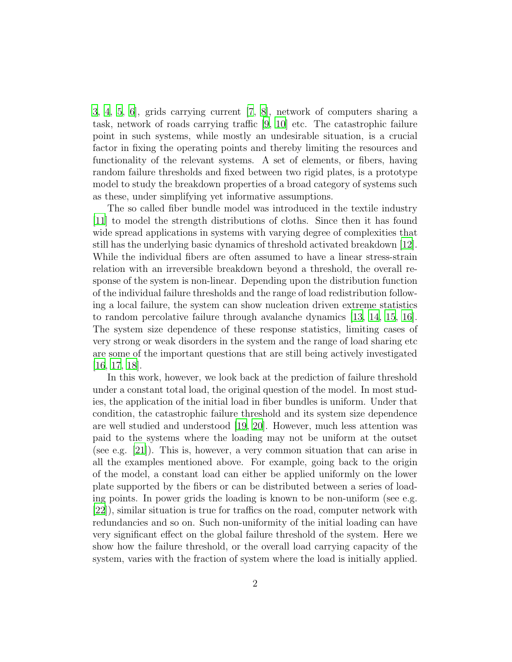[3,](#page-13-2) [4,](#page-13-3) [5](#page-13-4), [6](#page-13-5)], grids carrying current [\[7](#page-13-6), [8](#page-13-7)], network of computers sharing a task, network of roads carrying traffic [\[9,](#page-14-0) [10\]](#page-14-1) etc. The catastrophic failure point in such systems, while mostly an undesirable situation, is a crucial factor in fixing the operating points and thereby limiting the resources and functionality of the relevant systems. A set of elements, or fibers, having random failure thresholds and fixed between two rigid plates, is a prototype model to study the breakdown properties of a broad category of systems such as these, under simplifying yet informative assumptions.

The so called fiber bundle model was introduced in the textile industry [\[11\]](#page-14-2) to model the strength distributions of cloths. Since then it has found wide spread applications in systems with varying degree of complexities that still has the underlying basic dynamics of threshold activated breakdown [\[12\]](#page-14-3). While the individual fibers are often assumed to have a linear stress-strain relation with an irreversible breakdown beyond a threshold, the overall response of the system is non-linear. Depending upon the distribution function of the individual failure thresholds and the range of load redistribution following a local failure, the system can show nucleation driven extreme statistics to random percolative failure through avalanche dynamics [\[13,](#page-14-4) [14](#page-14-5), [15](#page-14-6), [16\]](#page-14-7). The system size dependence of these response statistics, limiting cases of very strong or weak disorders in the system and the range of load sharing etc are some of the important questions that are still being actively investigated [\[16,](#page-14-7) [17,](#page-14-8) [18\]](#page-14-9).

In this work, however, we look back at the prediction of failure threshold under a constant total load, the original question of the model. In most studies, the application of the initial load in fiber bundles is uniform. Under that condition, the catastrophic failure threshold and its system size dependence are well studied and understood [\[19](#page-14-10), [20](#page-14-11)]. However, much less attention was paid to the systems where the loading may not be uniform at the outset (see e.g. [\[21\]](#page-14-12)). This is, however, a very common situation that can arise in all the examples mentioned above. For example, going back to the origin of the model, a constant load can either be applied uniformly on the lower plate supported by the fibers or can be distributed between a series of loading points. In power grids the loading is known to be non-uniform (see e.g. [\[22\]](#page-14-13)), similar situation is true for traffics on the road, computer network with redundancies and so on. Such non-uniformity of the initial loading can have very significant effect on the global failure threshold of the system. Here we show how the failure threshold, or the overall load carrying capacity of the system, varies with the fraction of system where the load is initially applied.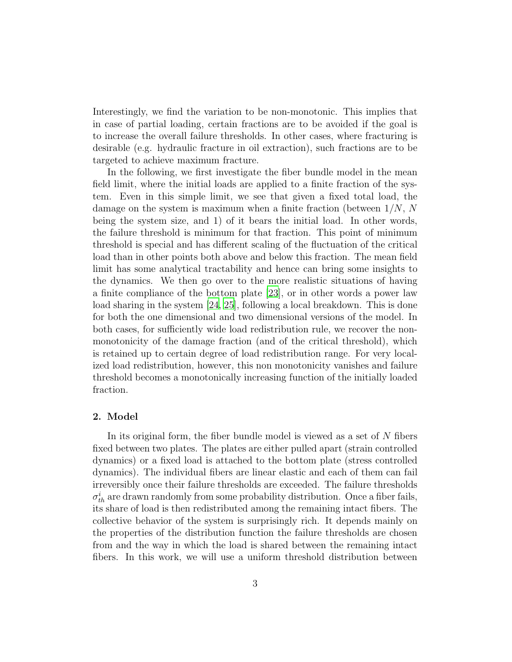Interestingly, we find the variation to be non-monotonic. This implies that in case of partial loading, certain fractions are to be avoided if the goal is to increase the overall failure thresholds. In other cases, where fracturing is desirable (e.g. hydraulic fracture in oil extraction), such fractions are to be targeted to achieve maximum fracture.

In the following, we first investigate the fiber bundle model in the mean field limit, where the initial loads are applied to a finite fraction of the system. Even in this simple limit, we see that given a fixed total load, the damage on the system is maximum when a finite fraction (between  $1/N$ , N being the system size, and 1) of it bears the initial load. In other words, the failure threshold is minimum for that fraction. This point of minimum threshold is special and has different scaling of the fluctuation of the critical load than in other points both above and below this fraction. The mean field limit has some analytical tractability and hence can bring some insights to the dynamics. We then go over to the more realistic situations of having a finite compliance of the bottom plate [\[23\]](#page-14-14), or in other words a power law load sharing in the system [\[24,](#page-14-15) [25\]](#page-14-16), following a local breakdown. This is done for both the one dimensional and two dimensional versions of the model. In both cases, for sufficiently wide load redistribution rule, we recover the nonmonotonicity of the damage fraction (and of the critical threshold), which is retained up to certain degree of load redistribution range. For very localized load redistribution, however, this non monotonicity vanishes and failure threshold becomes a monotonically increasing function of the initially loaded fraction.

## 2. Model

In its original form, the fiber bundle model is viewed as a set of N fibers fixed between two plates. The plates are either pulled apart (strain controlled dynamics) or a fixed load is attached to the bottom plate (stress controlled dynamics). The individual fibers are linear elastic and each of them can fail irreversibly once their failure thresholds are exceeded. The failure thresholds  $\sigma_{th}^{i}$  are drawn randomly from some probability distribution. Once a fiber fails, its share of load is then redistributed among the remaining intact fibers. The collective behavior of the system is surprisingly rich. It depends mainly on the properties of the distribution function the failure thresholds are chosen from and the way in which the load is shared between the remaining intact fibers. In this work, we will use a uniform threshold distribution between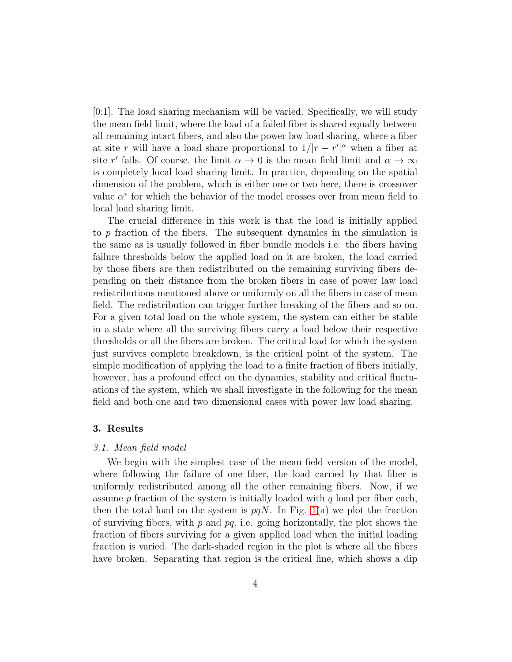$[0:1]$ . The load sharing mechanism will be varied. Specifically, we will study the mean field limit, where the load of a failed fiber is shared equally between all remaining intact fibers, and also the power law load sharing, where a fiber at site r will have a load share proportional to  $1/|r-r'|^{\alpha}$  when a fiber at site r' fails. Of course, the limit  $\alpha \to 0$  is the mean field limit and  $\alpha \to \infty$ is completely local load sharing limit. In practice, depending on the spatial dimension of the problem, which is either one or two here, there is crossover value  $\alpha^*$  for which the behavior of the model crosses over from mean field to local load sharing limit.

The crucial difference in this work is that the load is initially applied to p fraction of the fibers. The subsequent dynamics in the simulation is the same as is usually followed in fiber bundle models i.e. the fibers having failure thresholds below the applied load on it are broken, the load carried by those fibers are then redistributed on the remaining surviving fibers depending on their distance from the broken fibers in case of power law load redistributions mentioned above or uniformly on all the fibers in case of mean field. The redistribution can trigger further breaking of the fibers and so on. For a given total load on the whole system, the system can either be stable in a state where all the surviving fibers carry a load below their respective thresholds or all the fibers are broken. The critical load for which the system just survives complete breakdown, is the critical point of the system. The simple modification of applying the load to a finite fraction of fibers initially, however, has a profound effect on the dynamics, stability and critical fluctuations of the system, which we shall investigate in the following for the mean field and both one and two dimensional cases with power law load sharing.

## 3. Results

# *3.1. Mean field model*

We begin with the simplest case of the mean field version of the model, where following the failure of one fiber, the load carried by that fiber is uniformly redistributed among all the other remaining fibers. Now, if we assume p fraction of the system is initially loaded with q load per fiber each, then the total load on the system is  $pqN$ . In Fig. [1\(](#page-4-0)a) we plot the fraction of surviving fibers, with p and  $pq$ , i.e. going horizontally, the plot shows the fraction of fibers surviving for a given applied load when the initial loading fraction is varied. The dark-shaded region in the plot is where all the fibers have broken. Separating that region is the critical line, which shows a dip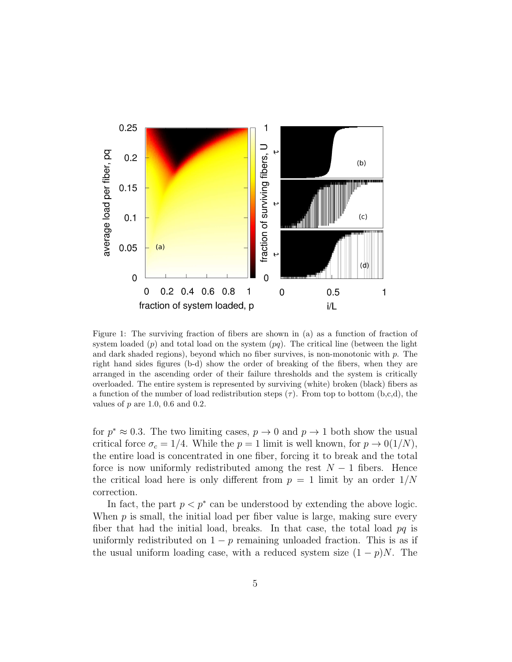

<span id="page-4-0"></span>Figure 1: The surviving fraction of fibers are shown in (a) as a function of fraction of system loaded  $(p)$  and total load on the system  $(pq)$ . The critical line (between the light and dark shaded regions), beyond which no fiber survives, is non-monotonic with  $p$ . The right hand sides figures (b-d) show the order of breaking of the fibers, when they are arranged in the ascending order of their failure thresholds and the system is critically overloaded. The entire system is represented by surviving (white) broken (black) fibers as a function of the number of load redistribution steps  $(\tau)$ . From top to bottom (b,c,d), the values of  $p$  are 1.0, 0.6 and 0.2.

for  $p^* \approx 0.3$ . The two limiting cases,  $p \to 0$  and  $p \to 1$  both show the usual critical force  $\sigma_c = 1/4$ . While the  $p = 1$  limit is well known, for  $p \to 0(1/N)$ , the entire load is concentrated in one fiber, forcing it to break and the total force is now uniformly redistributed among the rest  $N-1$  fibers. Hence the critical load here is only different from  $p = 1$  limit by an order  $1/N$ correction.

In fact, the part  $p < p^*$  can be understood by extending the above logic. When  $p$  is small, the initial load per fiber value is large, making sure every fiber that had the initial load, breaks. In that case, the total load  $pq$  is uniformly redistributed on  $1 - p$  remaining unloaded fraction. This is as if the usual uniform loading case, with a reduced system size  $(1 - p)N$ . The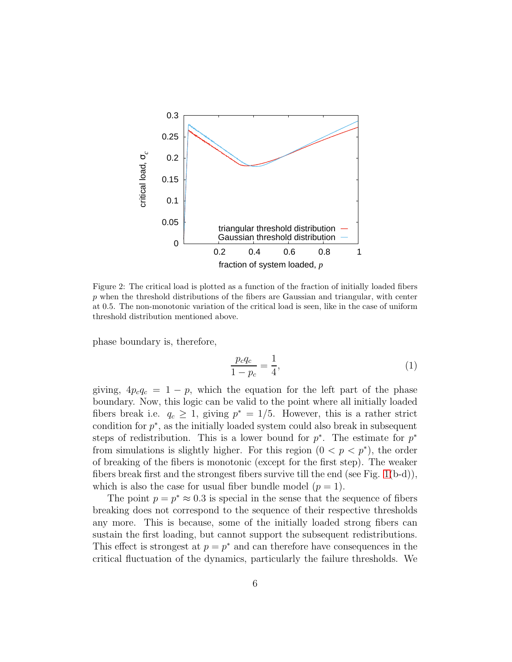

<span id="page-5-0"></span>Figure 2: The critical load is plotted as a function of the fraction of initially loaded fibers  $p$  when the threshold distributions of the fibers are Gaussian and triangular, with center at 0.5. The non-monotonic variation of the critical load is seen, like in the case of uniform threshold distribution mentioned above.

phase boundary is, therefore,

$$
\frac{p_c q_c}{1 - p_c} = \frac{1}{4},\tag{1}
$$

giving,  $4p_cq_c = 1 - p$ , which the equation for the left part of the phase boundary. Now, this logic can be valid to the point where all initially loaded fibers break i.e.  $q_c \geq 1$ , giving  $p^* = 1/5$ . However, this is a rather strict condition for  $p^*$ , as the initially loaded system could also break in subsequent steps of redistribution. This is a lower bound for  $p^*$ . The estimate for  $p^*$ from simulations is slightly higher. For this region  $(0 < p < p^*)$ , the order of breaking of the fibers is monotonic (except for the first step). The weaker fibers break first and the strongest fibers survive till the end (see Fig. [1\(](#page-4-0)b-d)), which is also the case for usual fiber bundle model  $(p = 1)$ .

The point  $p = p^* \approx 0.3$  is special in the sense that the sequence of fibers breaking does not correspond to the sequence of their respective thresholds any more. This is because, some of the initially loaded strong fibers can sustain the first loading, but cannot support the subsequent redistributions. This effect is strongest at  $p = p^*$  and can therefore have consequences in the critical fluctuation of the dynamics, particularly the failure thresholds. We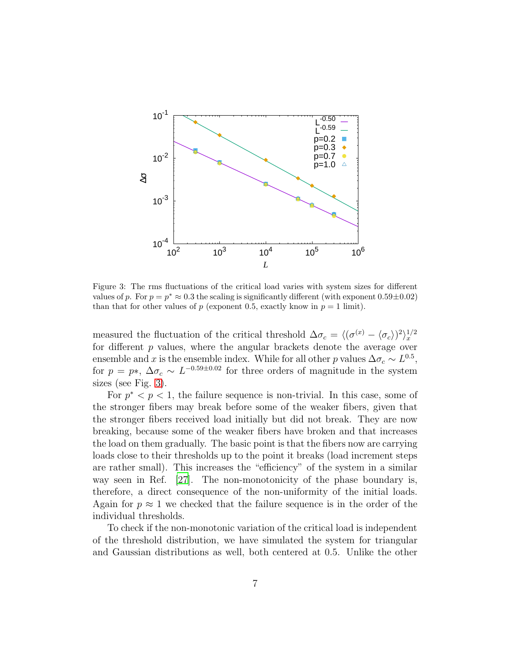

<span id="page-6-0"></span>Figure 3: The rms fluctuations of the critical load varies with system sizes for different values of p. For  $p = p^* \approx 0.3$  the scaling is significantly different (with exponent  $0.59 \pm 0.02$ ) than that for other values of p (exponent 0.5, exactly know in  $p = 1$  limit).

measured the fluctuation of the critical threshold  $\Delta \sigma_c = \langle (\sigma^{(x)} - \langle \sigma_c \rangle)^2 \rangle_x^{1/2}$ for different  $p$  values, where the angular brackets denote the average over ensemble and x is the ensemble index. While for all other p values  $\Delta \sigma_c \sim L^{0.5}$ , for  $p = p*, \Delta\sigma_c \sim L^{-0.59 \pm 0.02}$  for three orders of magnitude in the system sizes (see Fig. [3\)](#page-6-0).

For  $p^* < p < 1$ , the failure sequence is non-trivial. In this case, some of the stronger fibers may break before some of the weaker fibers, given that the stronger fibers received load initially but did not break. They are now breaking, because some of the weaker fibers have broken and that increases the load on them gradually. The basic point is that the fibers now are carrying loads close to their thresholds up to the point it breaks (load increment steps are rather small). This increases the "efficiency" of the system in a similar way seen in Ref. [\[27\]](#page-14-17). The non-monotonicity of the phase boundary is, therefore, a direct consequence of the non-uniformity of the initial loads. Again for  $p \approx 1$  we checked that the failure sequence is in the order of the individual thresholds.

To check if the non-monotonic variation of the critical load is independent of the threshold distribution, we have simulated the system for triangular and Gaussian distributions as well, both centered at 0.5. Unlike the other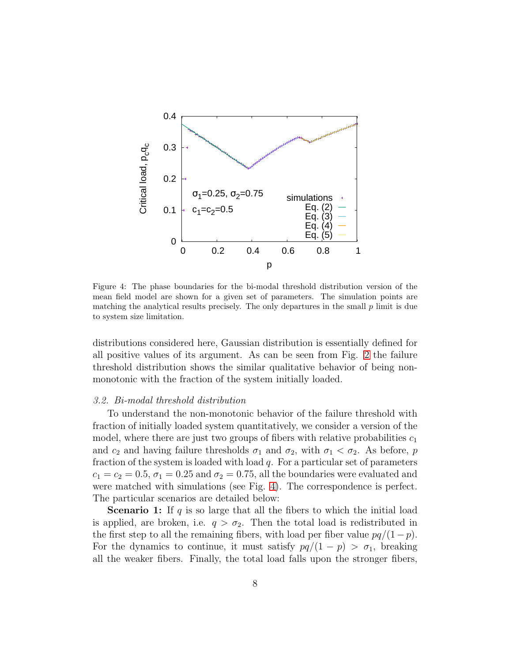

<span id="page-7-0"></span>Figure 4: The phase boundaries for the bi-modal threshold distribution version of the mean field model are shown for a given set of parameters. The simulation points are matching the analytical results precisely. The only departures in the small  $p$  limit is due to system size limitation.

distributions considered here, Gaussian distribution is essentially defined for all positive values of its argument. As can be seen from Fig. [2](#page-5-0) the failure threshold distribution shows the similar qualitative behavior of being nonmonotonic with the fraction of the system initially loaded.

## *3.2. Bi-modal threshold distribution*

To understand the non-monotonic behavior of the failure threshold with fraction of initially loaded system quantitatively, we consider a version of the model, where there are just two groups of fibers with relative probabilities  $c_1$ and  $c_2$  and having failure thresholds  $\sigma_1$  and  $\sigma_2$ , with  $\sigma_1 < \sigma_2$ . As before, p fraction of the system is loaded with load q. For a particular set of parameters  $c_1 = c_2 = 0.5, \sigma_1 = 0.25$  and  $\sigma_2 = 0.75$ , all the boundaries were evaluated and were matched with simulations (see Fig. [4\)](#page-7-0). The correspondence is perfect. The particular scenarios are detailed below:

**Scenario 1:** If q is so large that all the fibers to which the initial load is applied, are broken, i.e.  $q > \sigma_2$ . Then the total load is redistributed in the first step to all the remaining fibers, with load per fiber value  $pq/(1-p)$ . For the dynamics to continue, it must satisfy  $pq/(1-p) > \sigma_1$ , breaking all the weaker fibers. Finally, the total load falls upon the stronger fibers,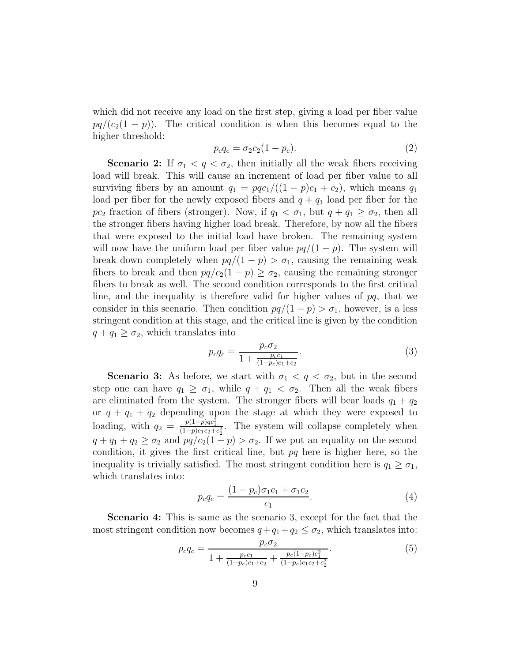which did not receive any load on the first step, giving a load per fiber value  $pq/(c_2(1-p))$ . The critical condition is when this becomes equal to the higher threshold:

<span id="page-8-0"></span>
$$
p_c q_c = \sigma_2 c_2 (1 - p_c). \tag{2}
$$

**Scenario 2:** If  $\sigma_1 < q < \sigma_2$ , then initially all the weak fibers receiving load will break. This will cause an increment of load per fiber value to all surviving fibers by an amount  $q_1 = pqc_1/((1-p)c_1 + c_2)$ , which means  $q_1$ load per fiber for the newly exposed fibers and  $q + q_1$  load per fiber for the  $pc_2$  fraction of fibers (stronger). Now, if  $q_1 < \sigma_1$ , but  $q + q_1 \ge \sigma_2$ , then all the stronger fibers having higher load break. Therefore, by now all the fibers that were exposed to the initial load have broken. The remaining system will now have the uniform load per fiber value  $pq/(1-p)$ . The system will break down completely when  $pq/(1 - p) > \sigma_1$ , causing the remaining weak fibers to break and then  $pq/c_2(1-p) \geq \sigma_2$ , causing the remaining stronger fibers to break as well. The second condition corresponds to the first critical line, and the inequality is therefore valid for higher values of pq, that we consider in this scenario. Then condition  $pq/(1-p) > \sigma_1$ , however, is a less stringent condition at this stage, and the critical line is given by the condition  $q + q_1 \geq \sigma_2$ , which translates into

<span id="page-8-1"></span>
$$
p_c q_c = \frac{p_c \sigma_2}{1 + \frac{p_c c_1}{(1 - p_c)c_1 + c_2}}.\tag{3}
$$

**Scenario 3:** As before, we start with  $\sigma_1 < q < \sigma_2$ , but in the second step one can have  $q_1 \geq \sigma_1$ , while  $q + q_1 < \sigma_2$ . Then all the weak fibers are eliminated from the system. The stronger fibers will bear loads  $q_1 + q_2$ or  $q + q_1 + q_2$  depending upon the stage at which they were exposed to loading, with  $q_2 = \frac{p(1-p)qc_1^2}{(1-p)c_1c_2+c_2^2}$ . The system will collapse completely when  $q + q_1 + q_2 \ge \sigma_2$  and  $pq/c_2(1 - p) > \sigma_2$ . If we put an equality on the second condition, it gives the first critical line, but  $pq$  here is higher here, so the inequality is trivially satisfied. The most stringent condition here is  $q_1 \geq \sigma_1$ , which translates into:

<span id="page-8-2"></span>
$$
p_c q_c = \frac{(1 - p_c)\sigma_1 c_1 + \sigma_1 c_2}{c_1}.
$$
\n(4)

Scenario 4: This is same as the scenario 3, except for the fact that the most stringent condition now becomes  $q+q_1+q_2 \leq \sigma_2$ , which translates into:

<span id="page-8-3"></span>
$$
p_c q_c = \frac{p_c \sigma_2}{1 + \frac{p_c c_1}{(1 - p_c)c_1 + c_2} + \frac{p_c (1 - p_c)c_1^2}{(1 - p_c)c_1 c_2 + c_2^2}}.
$$
(5)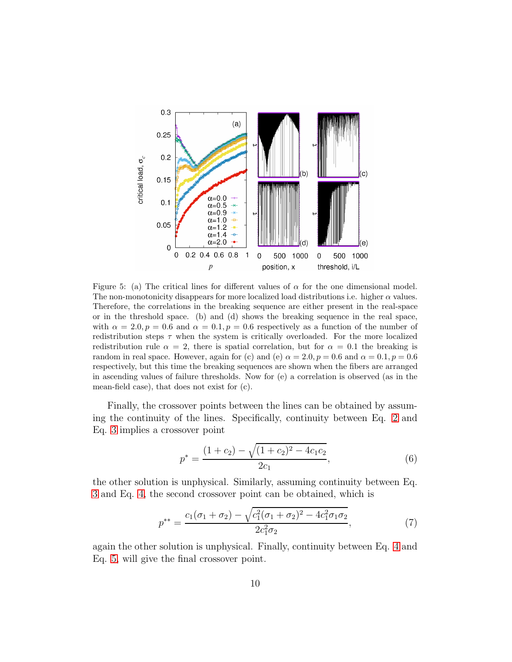

<span id="page-9-0"></span>Figure 5: (a) The critical lines for different values of  $\alpha$  for the one dimensional model. The non-monotonicity disappears for more localized load distributions i.e. higher  $\alpha$  values. Therefore, the correlations in the breaking sequence are either present in the real-space or in the threshold space. (b) and (d) shows the breaking sequence in the real space, with  $\alpha = 2.0, p = 0.6$  and  $\alpha = 0.1, p = 0.6$  respectively as a function of the number of redistribution steps  $\tau$  when the system is critically overloaded. For the more localized redistribution rule  $\alpha = 2$ , there is spatial correlation, but for  $\alpha = 0.1$  the breaking is random in real space. However, again for (c) and (e)  $\alpha = 2.0, p = 0.6$  and  $\alpha = 0.1, p = 0.6$ respectively, but this time the breaking sequences are shown when the fibers are arranged in ascending values of failure thresholds. Now for (e) a correlation is observed (as in the mean-field case), that does not exist for (c).

Finally, the crossover points between the lines can be obtained by assuming the continuity of the lines. Specifically, continuity between Eq. [2](#page-8-0) and Eq. [3](#page-8-1) implies a crossover point

$$
p^* = \frac{(1+c_2) - \sqrt{(1+c_2)^2 - 4c_1c_2}}{2c_1},\tag{6}
$$

the other solution is unphysical. Similarly, assuming continuity between Eq. [3](#page-8-1) and Eq. [4,](#page-8-2) the second crossover point can be obtained, which is

$$
p^{**} = \frac{c_1(\sigma_1 + \sigma_2) - \sqrt{c_1^2(\sigma_1 + \sigma_2)^2 - 4c_1^2\sigma_1\sigma_2}}{2c_1^2\sigma_2},\tag{7}
$$

again the other solution is unphysical. Finally, continuity between Eq. [4](#page-8-2) and Eq. [5,](#page-8-3) will give the final crossover point.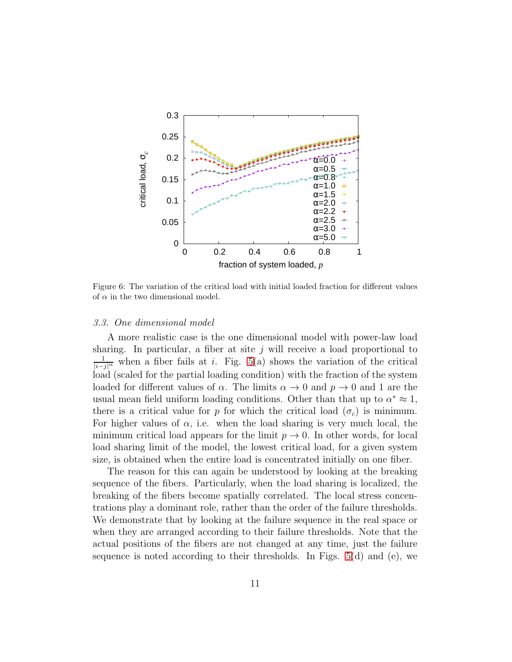

<span id="page-10-0"></span>Figure 6: The variation of the critical load with initial loaded fraction for different values of  $\alpha$  in the two dimensional model.

#### *3.3. One dimensional model*

A more realistic case is the one dimensional model with power-law load sharing. In particular, a fiber at site  $j$  will receive a load proportional to  $\frac{1}{|i-j|^\alpha}$  when a fiber fails at *i*. Fig. [5\(](#page-9-0)a) shows the variation of the critical load (scaled for the partial loading condition) with the fraction of the system loaded for different values of  $\alpha$ . The limits  $\alpha \to 0$  and  $p \to 0$  and 1 are the usual mean field uniform loading conditions. Other than that up to  $\alpha^* \approx 1$ , there is a critical value for p for which the critical load  $(\sigma_c)$  is minimum. For higher values of  $\alpha$ , i.e. when the load sharing is very much local, the minimum critical load appears for the limit  $p \to 0$ . In other words, for local load sharing limit of the model, the lowest critical load, for a given system size, is obtained when the entire load is concentrated initially on one fiber.

The reason for this can again be understood by looking at the breaking sequence of the fibers. Particularly, when the load sharing is localized, the breaking of the fibers become spatially correlated. The local stress concentrations play a dominant role, rather than the order of the failure thresholds. We demonstrate that by looking at the failure sequence in the real space or when they are arranged according to their failure thresholds. Note that the actual positions of the fibers are not changed at any time, just the failure sequence is noted according to their thresholds. In Figs.  $5(d)$  and (e), we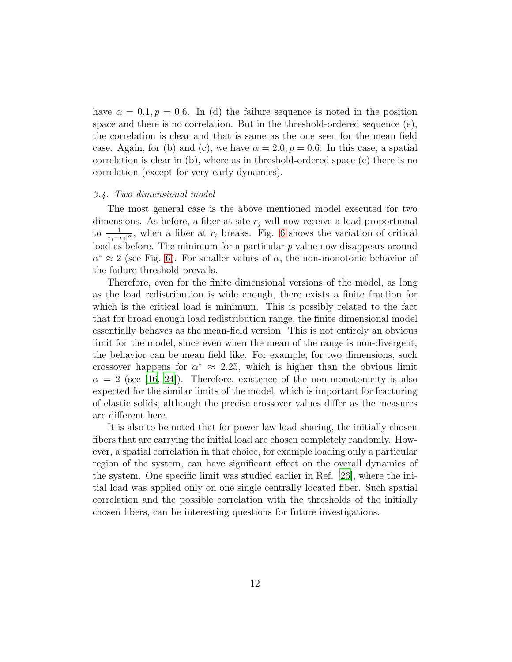have  $\alpha = 0.1, p = 0.6$ . In (d) the failure sequence is noted in the position space and there is no correlation. But in the threshold-ordered sequence (e), the correlation is clear and that is same as the one seen for the mean field case. Again, for (b) and (c), we have  $\alpha = 2.0, p = 0.6$ . In this case, a spatial correlation is clear in (b), where as in threshold-ordered space (c) there is no correlation (except for very early dynamics).

## *3.4. Two dimensional model*

The most general case is the above mentioned model executed for two dimensions. As before, a fiber at site  $r_j$  will now receive a load proportional to  $\frac{1}{|r_i-r_j|^{\alpha}}$ , when a fiber at  $r_i$  breaks. Fig. [6](#page-10-0) shows the variation of critical load as before. The minimum for a particular  $p$  value now disappears around  $\alpha^* \approx 2$  (see Fig. [6\)](#page-10-0). For smaller values of  $\alpha$ , the non-monotonic behavior of the failure threshold prevails.

Therefore, even for the finite dimensional versions of the model, as long as the load redistribution is wide enough, there exists a finite fraction for which is the critical load is minimum. This is possibly related to the fact that for broad enough load redistribution range, the finite dimensional model essentially behaves as the mean-field version. This is not entirely an obvious limit for the model, since even when the mean of the range is non-divergent, the behavior can be mean field like. For example, for two dimensions, such crossover happens for  $\alpha^* \approx 2.25$ , which is higher than the obvious limit  $\alpha = 2$  (see [\[16](#page-14-7), [24](#page-14-15)]). Therefore, existence of the non-monotonicity is also expected for the similar limits of the model, which is important for fracturing of elastic solids, although the precise crossover values differ as the measures are different here.

It is also to be noted that for power law load sharing, the initially chosen fibers that are carrying the initial load are chosen completely randomly. However, a spatial correlation in that choice, for example loading only a particular region of the system, can have significant effect on the overall dynamics of the system. One specific limit was studied earlier in Ref. [\[26\]](#page-14-18), where the initial load was applied only on one single centrally located fiber. Such spatial correlation and the possible correlation with the thresholds of the initially chosen fibers, can be interesting questions for future investigations.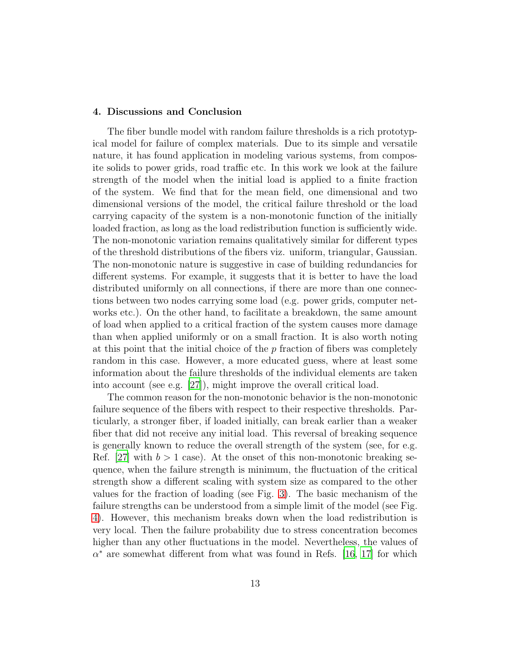## 4. Discussions and Conclusion

The fiber bundle model with random failure thresholds is a rich prototypical model for failure of complex materials. Due to its simple and versatile nature, it has found application in modeling various systems, from composite solids to power grids, road traffic etc. In this work we look at the failure strength of the model when the initial load is applied to a finite fraction of the system. We find that for the mean field, one dimensional and two dimensional versions of the model, the critical failure threshold or the load carrying capacity of the system is a non-monotonic function of the initially loaded fraction, as long as the load redistribution function is sufficiently wide. The non-monotonic variation remains qualitatively similar for different types of the threshold distributions of the fibers viz. uniform, triangular, Gaussian. The non-monotonic nature is suggestive in case of building redundancies for different systems. For example, it suggests that it is better to have the load distributed uniformly on all connections, if there are more than one connections between two nodes carrying some load (e.g. power grids, computer networks etc.). On the other hand, to facilitate a breakdown, the same amount of load when applied to a critical fraction of the system causes more damage than when applied uniformly or on a small fraction. It is also worth noting at this point that the initial choice of the  $p$  fraction of fibers was completely random in this case. However, a more educated guess, where at least some information about the failure thresholds of the individual elements are taken into account (see e.g. [\[27](#page-14-17)]), might improve the overall critical load.

The common reason for the non-monotonic behavior is the non-monotonic failure sequence of the fibers with respect to their respective thresholds. Particularly, a stronger fiber, if loaded initially, can break earlier than a weaker fiber that did not receive any initial load. This reversal of breaking sequence is generally known to reduce the overall strength of the system (see, for e.g. Ref. [\[27](#page-14-17)] with  $b > 1$  case). At the onset of this non-monotonic breaking sequence, when the failure strength is minimum, the fluctuation of the critical strength show a different scaling with system size as compared to the other values for the fraction of loading (see Fig. [3\)](#page-6-0). The basic mechanism of the failure strengths can be understood from a simple limit of the model (see Fig. [4\)](#page-7-0). However, this mechanism breaks down when the load redistribution is very local. Then the failure probability due to stress concentration becomes higher than any other fluctuations in the model. Nevertheless, the values of  $\alpha^*$  are somewhat different from what was found in Refs. [\[16,](#page-14-7) [17\]](#page-14-8) for which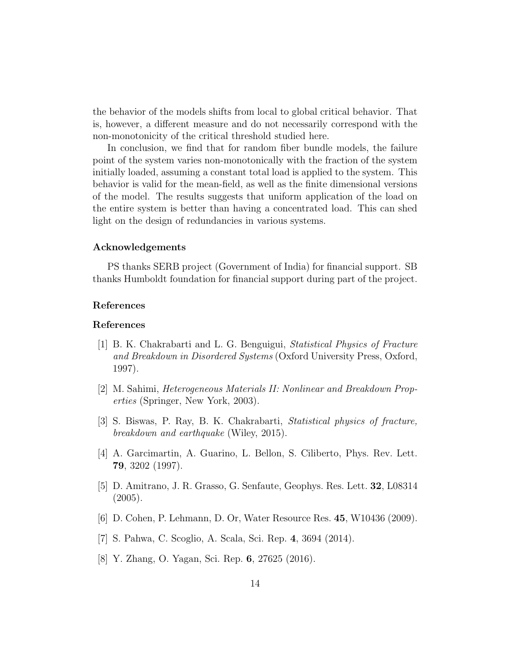the behavior of the models shifts from local to global critical behavior. That is, however, a different measure and do not necessarily correspond with the non-monotonicity of the critical threshold studied here.

In conclusion, we find that for random fiber bundle models, the failure point of the system varies non-monotonically with the fraction of the system initially loaded, assuming a constant total load is applied to the system. This behavior is valid for the mean-field, as well as the finite dimensional versions of the model. The results suggests that uniform application of the load on the entire system is better than having a concentrated load. This can shed light on the design of redundancies in various systems.

## Acknowledgements

PS thanks SERB project (Government of India) for financial support. SB thanks Humboldt foundation for financial support during part of the project.

## References

## References

- <span id="page-13-0"></span>[1] B. K. Chakrabarti and L. G. Benguigui, *Statistical Physics of Fracture and Breakdown in Disordered Systems* (Oxford University Press, Oxford, 1997).
- <span id="page-13-1"></span>[2] M. Sahimi, *Heterogeneous Materials II: Nonlinear and Breakdown Properties* (Springer, New York, 2003).
- <span id="page-13-2"></span>[3] S. Biswas, P. Ray, B. K. Chakrabarti, *Statistical physics of fracture, breakdown and earthquake* (Wiley, 2015).
- <span id="page-13-3"></span>[4] A. Garcimartin, A. Guarino, L. Bellon, S. Ciliberto, Phys. Rev. Lett. 79, 3202 (1997).
- <span id="page-13-4"></span>[5] D. Amitrano, J. R. Grasso, G. Senfaute, Geophys. Res. Lett. 32, L08314  $(2005).$
- <span id="page-13-5"></span>[6] D. Cohen, P. Lehmann, D. Or, Water Resource Res. 45, W10436 (2009).
- <span id="page-13-6"></span>[7] S. Pahwa, C. Scoglio, A. Scala, Sci. Rep. 4, 3694 (2014).
- <span id="page-13-7"></span>[8] Y. Zhang, O. Yagan, Sci. Rep. 6, 27625 (2016).